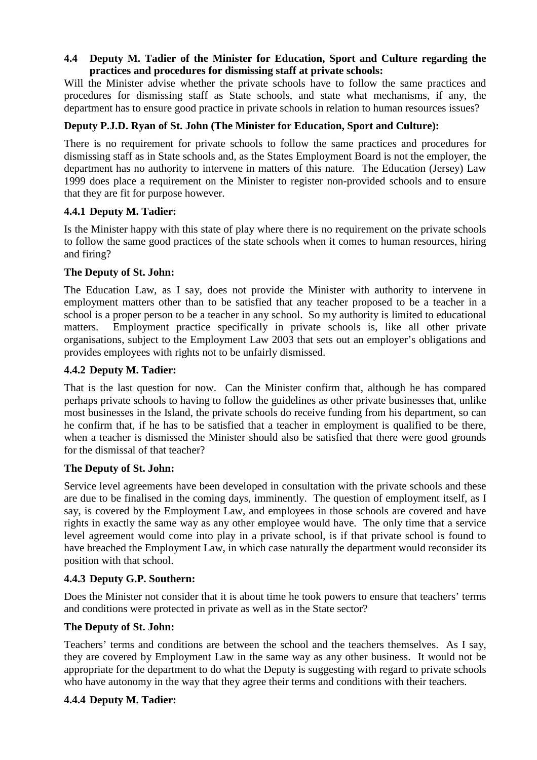## **4.4 Deputy M. Tadier of the Minister for Education, Sport and Culture regarding the practices and procedures for dismissing staff at private schools:**

Will the Minister advise whether the private schools have to follow the same practices and procedures for dismissing staff as State schools, and state what mechanisms, if any, the department has to ensure good practice in private schools in relation to human resources issues?

## **Deputy P.J.D. Ryan of St. John (The Minister for Education, Sport and Culture):**

There is no requirement for private schools to follow the same practices and procedures for dismissing staff as in State schools and, as the States Employment Board is not the employer, the department has no authority to intervene in matters of this nature. The Education (Jersey) Law 1999 does place a requirement on the Minister to register non-provided schools and to ensure that they are fit for purpose however.

#### **4.4.1 Deputy M. Tadier:**

Is the Minister happy with this state of play where there is no requirement on the private schools to follow the same good practices of the state schools when it comes to human resources, hiring and firing?

#### **The Deputy of St. John:**

The Education Law, as I say, does not provide the Minister with authority to intervene in employment matters other than to be satisfied that any teacher proposed to be a teacher in a school is a proper person to be a teacher in any school. So my authority is limited to educational matters. Employment practice specifically in private schools is, like all other private organisations, subject to the Employment Law 2003 that sets out an employer's obligations and provides employees with rights not to be unfairly dismissed.

# **4.4.2 Deputy M. Tadier:**

That is the last question for now. Can the Minister confirm that, although he has compared perhaps private schools to having to follow the guidelines as other private businesses that, unlike most businesses in the Island, the private schools do receive funding from his department, so can he confirm that, if he has to be satisfied that a teacher in employment is qualified to be there, when a teacher is dismissed the Minister should also be satisfied that there were good grounds for the dismissal of that teacher?

#### **The Deputy of St. John:**

Service level agreements have been developed in consultation with the private schools and these are due to be finalised in the coming days, imminently. The question of employment itself, as I say, is covered by the Employment Law, and employees in those schools are covered and have rights in exactly the same way as any other employee would have. The only time that a service level agreement would come into play in a private school, is if that private school is found to have breached the Employment Law, in which case naturally the department would reconsider its position with that school.

#### **4.4.3 Deputy G.P. Southern:**

Does the Minister not consider that it is about time he took powers to ensure that teachers' terms and conditions were protected in private as well as in the State sector?

#### **The Deputy of St. John:**

Teachers' terms and conditions are between the school and the teachers themselves. As I say, they are covered by Employment Law in the same way as any other business. It would not be appropriate for the department to do what the Deputy is suggesting with regard to private schools who have autonomy in the way that they agree their terms and conditions with their teachers.

#### **4.4.4 Deputy M. Tadier:**